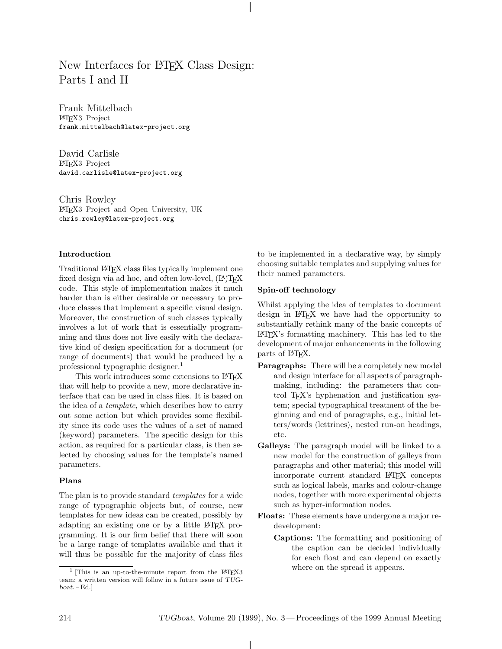# New Interfaces for LAT<sub>EX</sub> Class Design: Parts I and II

Frank Mittelbach LATEX3 Project frank.mittelbach@latex-project.org

David Carlisle LATEX3 Project david.carlisle@latex-project.org

Chris Rowley LATEX3 Project and Open University, UK chris.rowley@latex-project.org

## **Introduction**

Traditional LATEX class files typically implement one fixed design via ad hoc, and often low-level,  $(E)$ T<sub>F</sub>X code. This style of implementation makes it much harder than is either desirable or necessary to produce classes that implement a specific visual design. Moreover, the construction of such classes typically involves a lot of work that is essentially programming and thus does not live easily with the declarative kind of design specification for a document (or range of documents) that would be produced by a professional typographic designer.<sup>1</sup>

This work introduces some extensions to LAT<sub>EX</sub> that will help to provide a new, more declarative interface that can be used in class files. It is based on the idea of a *template*, which describes how to carry out some action but which provides some flexibility since its code uses the values of a set of named (keyword) parameters. The specific design for this action, as required for a particular class, is then selected by choosing values for the template's named parameters.

#### **Plans**

The plan is to provide standard *templates* for a wide range of typographic objects but, of course, new templates for new ideas can be created, possibly by adapting an existing one or by a little LATEX programming. It is our firm belief that there will soon be a large range of templates available and that it will thus be possible for the majority of class files

to be implemented in a declarative way, by simply choosing suitable templates and supplying values for their named parameters.

## **Spin-off technology**

Whilst applying the idea of templates to document design in LATEX we have had the opportunity to substantially rethink many of the basic concepts of LATEX's formatting machinery. This has led to the development of major enhancements in the following parts of LAT<sub>F</sub>X.

- **Paragraphs:** There will be a completely new model and design interface for all aspects of paragraphmaking, including: the parameters that control T<sub>EX</sub>'s hyphenation and justification system; special typographical treatment of the beginning and end of paragraphs, e.g., initial letters/words (lettrines), nested run-on headings, etc.
- **Galleys:** The paragraph model will be linked to a new model for the construction of galleys from paragraphs and other material; this model will incorporate current standard LATEX concepts such as logical labels, marks and colour-change nodes, together with more experimental objects such as hyper-information nodes.
- **Floats:** These elements have undergone a major redevelopment:
	- **Captions:** The formatting and positioning of the caption can be decided individually for each float and can depend on exactly where on the spread it appears.

 $1$  [This is an up-to-the-minute report from the LAT<sub>E</sub>X3 team; a written version will follow in a future issue of TUG $boat. - Ed.$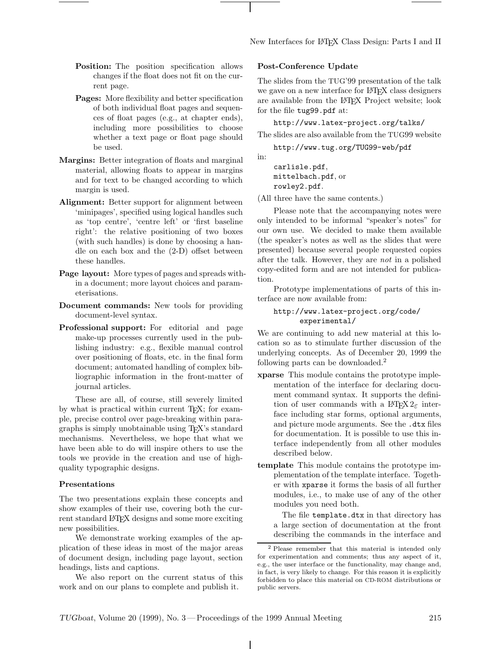- **Position:** The position specification allows changes if the float does not fit on the current page.
- Pages: More flexibility and better specification of both individual float pages and sequences of float pages (e.g., at chapter ends), including more possibilities to choose whether a text page or float page should be used.
- **Margins:** Better integration of floats and marginal material, allowing floats to appear in margins and for text to be changed according to which margin is used.
- **Alignment:** Better support for alignment between 'minipages', specified using logical handles such as 'top centre', 'centre left' or 'first baseline right': the relative positioning of two boxes (with such handles) is done by choosing a handle on each box and the (2-D) offset between these handles.
- **Page layout:** More types of pages and spreads within a document; more layout choices and parameterisations.
- **Document commands:** New tools for providing document-level syntax.
- **Professional support:** For editorial and page make-up processes currently used in the publishing industry: e.g., flexible manual control over positioning of floats, etc. in the final form document; automated handling of complex bibliographic information in the front-matter of journal articles.

These are all, of course, still severely limited by what is practical within current T<sub>E</sub>X; for example, precise control over page-breaking within paragraphs is simply unobtainable using TEX's standard mechanisms. Nevertheless, we hope that what we have been able to do will inspire others to use the tools we provide in the creation and use of highquality typographic designs.

#### **Presentations**

The two presentations explain these concepts and show examples of their use, covering both the current standard LAT<sub>E</sub>X designs and some more exciting new possibilities.

We demonstrate working examples of the application of these ideas in most of the major areas of document design, including page layout, section headings, lists and captions.

We also report on the current status of this work and on our plans to complete and publish it.

## **Post-Conference Update**

The slides from the TUG'99 presentation of the talk we gave on a new interface for LAT<sub>EX</sub> class designers are available from the L<sup>AT</sup>EX Project website; look for the file tug99.pdf at:

http://www.latex-project.org/talks/

The slides are also available from the TUG99 website

http://www.tug.org/TUG99-web/pdf

carlisle.pdf, mittelbach.pdf, or rowley2.pdf.

in:

(All three have the same contents.)

Please note that the accompanying notes were only intended to be informal "speaker's notes" for our own use. We decided to make them available (the speaker's notes as well as the slides that were presented) because several people requested copies after the talk. However, they are *not* in a polished copy-edited form and are not intended for publication.

Prototype implementations of parts of this interface are now available from:

# http://www.latex-project.org/code/ experimental/

We are continuing to add new material at this location so as to stimulate further discussion of the underlying concepts. As of December 20, 1999 the following parts can be downloaded.<sup>2</sup>

- **xparse** This module contains the prototype implementation of the interface for declaring document command syntax. It supports the definition of user commands with a L<sup>AT</sup>FX  $2\varepsilon$  interface including star forms, optional arguments, and picture mode arguments. See the .dtx files for documentation. It is possible to use this interface independently from all other modules described below.
- **template** This module contains the prototype implementation of the template interface. Together with xparse it forms the basis of all further modules, i.e., to make use of any of the other modules you need both.

The file template.dtx in that directory has a large section of documentation at the front describing the commands in the interface and

<sup>2</sup> Please remember that this material is intended only for experimentation and comments; thus any aspect of it, e.g., the user interface or the functionality, may change and, in fact, is very likely to change. For this reason it is explicitly forbidden to place this material on CD-ROM distributions or public servers.